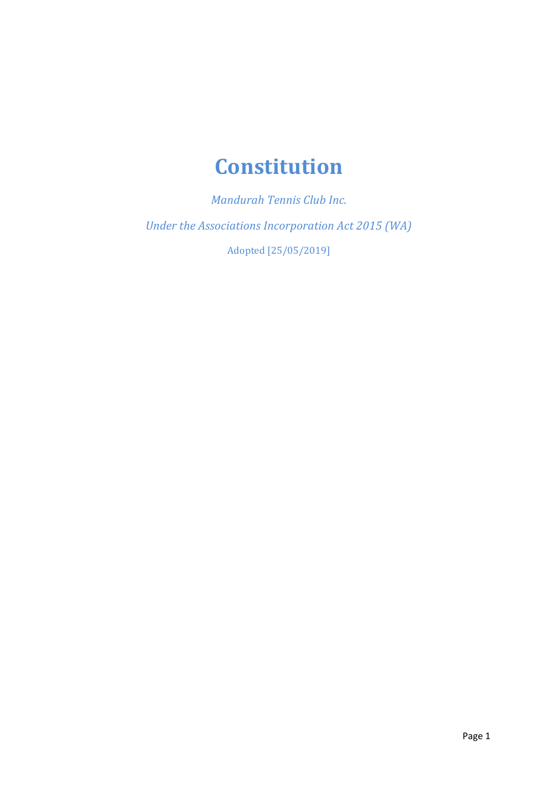# **Constitution**

*Mandurah Tennis Club Inc. Under the Associations Incorporation Act 2015 (WA)* Adopted [25/05/2019]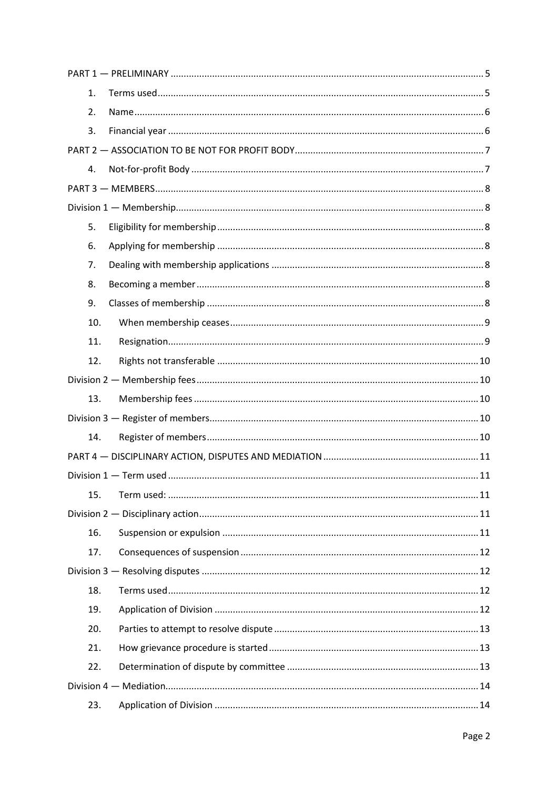| 1.  |  |  |  |  |
|-----|--|--|--|--|
| 2.  |  |  |  |  |
| 3.  |  |  |  |  |
|     |  |  |  |  |
| 4.  |  |  |  |  |
|     |  |  |  |  |
|     |  |  |  |  |
| 5.  |  |  |  |  |
| 6.  |  |  |  |  |
| 7.  |  |  |  |  |
| 8.  |  |  |  |  |
| 9.  |  |  |  |  |
| 10. |  |  |  |  |
| 11. |  |  |  |  |
| 12. |  |  |  |  |
|     |  |  |  |  |
| 13. |  |  |  |  |
|     |  |  |  |  |
| 14. |  |  |  |  |
|     |  |  |  |  |
|     |  |  |  |  |
| 15. |  |  |  |  |
|     |  |  |  |  |
| 16. |  |  |  |  |
| 17. |  |  |  |  |
|     |  |  |  |  |
| 18. |  |  |  |  |
| 19. |  |  |  |  |
| 20. |  |  |  |  |
| 21. |  |  |  |  |
| 22. |  |  |  |  |
|     |  |  |  |  |
| 23. |  |  |  |  |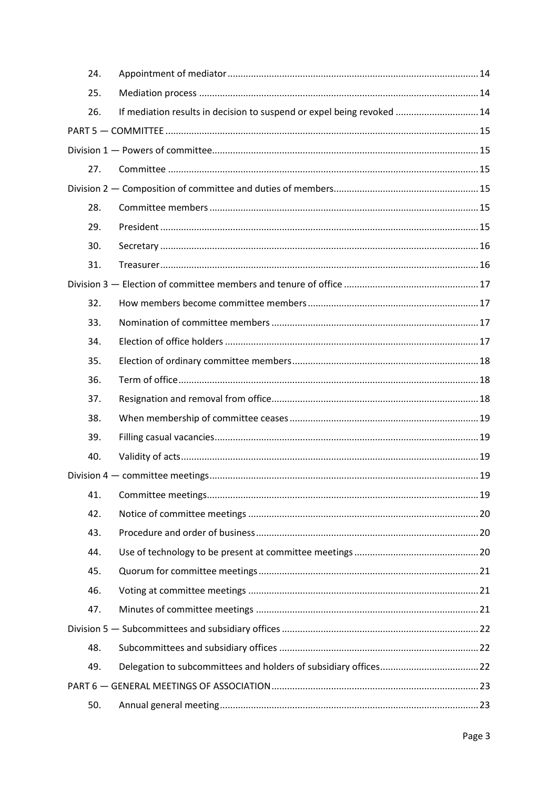|  | 24. |                                                                        |  |  |  |
|--|-----|------------------------------------------------------------------------|--|--|--|
|  | 25. |                                                                        |  |  |  |
|  | 26. | If mediation results in decision to suspend or expel being revoked  14 |  |  |  |
|  |     |                                                                        |  |  |  |
|  |     |                                                                        |  |  |  |
|  | 27. |                                                                        |  |  |  |
|  |     |                                                                        |  |  |  |
|  | 28. |                                                                        |  |  |  |
|  | 29. |                                                                        |  |  |  |
|  | 30. |                                                                        |  |  |  |
|  | 31. |                                                                        |  |  |  |
|  |     |                                                                        |  |  |  |
|  | 32. |                                                                        |  |  |  |
|  | 33. |                                                                        |  |  |  |
|  | 34. |                                                                        |  |  |  |
|  | 35. |                                                                        |  |  |  |
|  | 36. |                                                                        |  |  |  |
|  | 37. |                                                                        |  |  |  |
|  | 38. |                                                                        |  |  |  |
|  | 39. |                                                                        |  |  |  |
|  | 40. |                                                                        |  |  |  |
|  |     |                                                                        |  |  |  |
|  | 41. |                                                                        |  |  |  |
|  | 42. |                                                                        |  |  |  |
|  | 43. |                                                                        |  |  |  |
|  | 44. |                                                                        |  |  |  |
|  | 45. |                                                                        |  |  |  |
|  | 46. |                                                                        |  |  |  |
|  | 47. |                                                                        |  |  |  |
|  |     |                                                                        |  |  |  |
|  | 48. |                                                                        |  |  |  |
|  | 49. |                                                                        |  |  |  |
|  |     |                                                                        |  |  |  |
|  | 50. |                                                                        |  |  |  |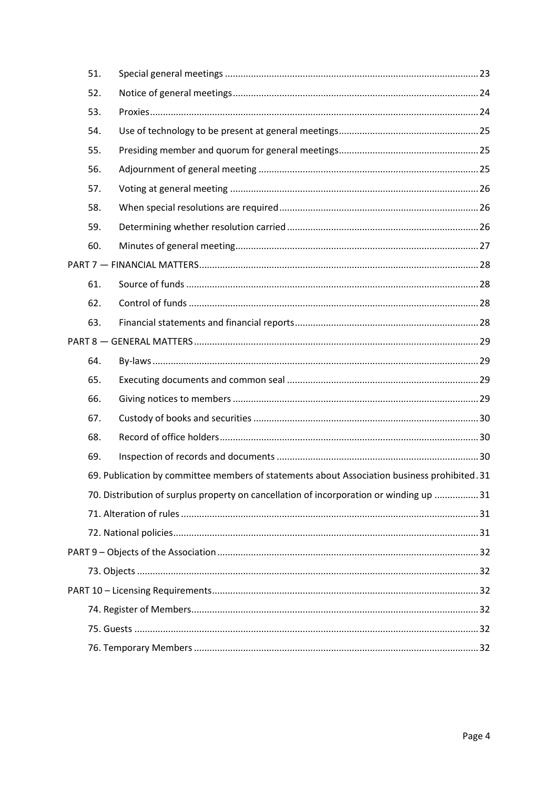| 51. |                                                                                             |
|-----|---------------------------------------------------------------------------------------------|
| 52. |                                                                                             |
| 53. |                                                                                             |
| 54. |                                                                                             |
| 55. |                                                                                             |
| 56. |                                                                                             |
| 57. |                                                                                             |
| 58. |                                                                                             |
| 59. |                                                                                             |
| 60. |                                                                                             |
|     |                                                                                             |
| 61. |                                                                                             |
| 62. |                                                                                             |
| 63. |                                                                                             |
|     |                                                                                             |
| 64. |                                                                                             |
| 65. |                                                                                             |
| 66. |                                                                                             |
| 67. |                                                                                             |
| 68. |                                                                                             |
| 69. |                                                                                             |
|     | 69. Publication by committee members of statements about Association business prohibited.31 |
|     | 70. Distribution of surplus property on cancellation of incorporation or winding up  31     |
|     |                                                                                             |
|     |                                                                                             |
|     |                                                                                             |
|     |                                                                                             |
|     |                                                                                             |
|     |                                                                                             |
|     |                                                                                             |
|     |                                                                                             |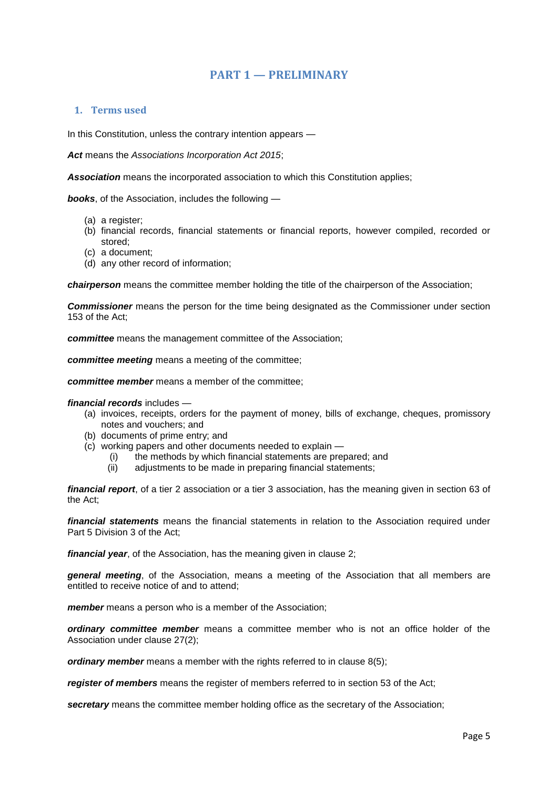# **PART 1 — PRELIMINARY**

# <span id="page-4-1"></span><span id="page-4-0"></span>**1. Terms used**

In this Constitution, unless the contrary intention appears —

*Act* means the *Associations Incorporation Act 2015*;

*Association* means the incorporated association to which this Constitution applies;

*books*, of the Association, includes the following —

- (a) a register;
- (b) financial records, financial statements or financial reports, however compiled, recorded or stored;
- (c) a document;
- (d) any other record of information;

*chairperson* means the committee member holding the title of the chairperson of the Association;

*Commissioner* means the person for the time being designated as the Commissioner under section 153 of the Act;

*committee* means the management committee of the Association;

*committee meeting* means a meeting of the committee;

*committee member* means a member of the committee;

#### *financial records* includes —

- (a) invoices, receipts, orders for the payment of money, bills of exchange, cheques, promissory notes and vouchers; and
- (b) documents of prime entry; and
- (c) working papers and other documents needed to explain
	- (i) the methods by which financial statements are prepared; and
	- (ii) adjustments to be made in preparing financial statements;

*financial report*, of a tier 2 association or a tier 3 association, has the meaning given in section 63 of the Act;

*financial statements* means the financial statements in relation to the Association required under Part 5 Division 3 of the Act;

*financial year*, of the Association, has the meaning given in clause 2;

*general meeting*, of the Association, means a meeting of the Association that all members are entitled to receive notice of and to attend;

*member* means a person who is a member of the Association;

*ordinary committee member* means a committee member who is not an office holder of the Association under clause 27(2);

*ordinary member* means a member with the rights referred to in clause 8(5);

*register of members* means the register of members referred to in section 53 of the Act;

*secretary* means the committee member holding office as the secretary of the Association;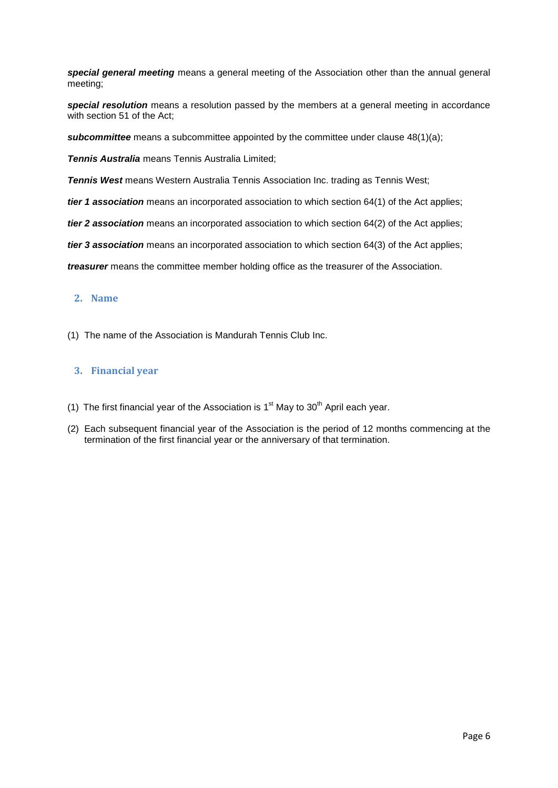*special general meeting* means a general meeting of the Association other than the annual general meeting;

*special resolution* means a resolution passed by the members at a general meeting in accordance with section 51 of the Act;

**subcommittee** means a subcommittee appointed by the committee under clause 48(1)(a);

*Tennis Australia* means Tennis Australia Limited;

*Tennis West* means Western Australia Tennis Association Inc. trading as Tennis West;

*tier 1 association* means an incorporated association to which section 64(1) of the Act applies;

*tier 2 association* means an incorporated association to which section 64(2) of the Act applies;

*tier 3 association* means an incorporated association to which section 64(3) of the Act applies;

*treasurer* means the committee member holding office as the treasurer of the Association.

# <span id="page-5-0"></span>**2. Name**

(1) The name of the Association is Mandurah Tennis Club Inc.

# <span id="page-5-1"></span>**3. Financial year**

- (1) The first financial year of the Association is  $1<sup>st</sup>$  May to  $30<sup>th</sup>$  April each year.
- (2) Each subsequent financial year of the Association is the period of 12 months commencing at the termination of the first financial year or the anniversary of that termination.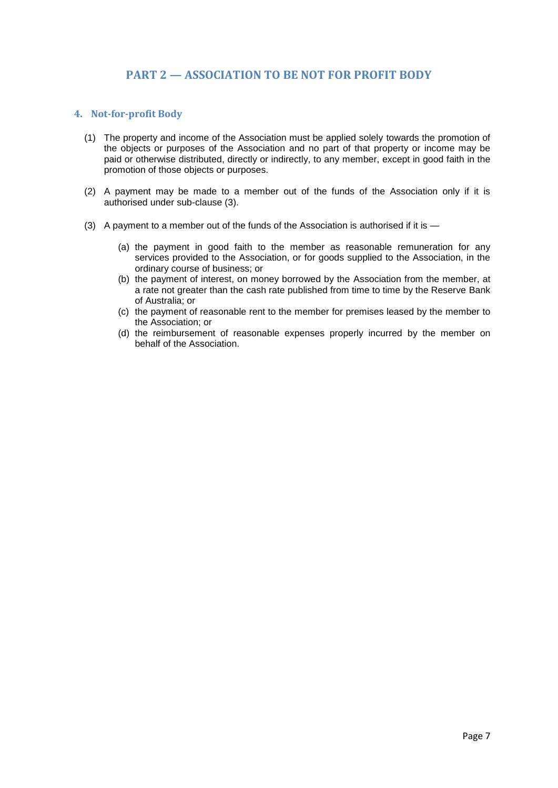# **PART 2 — ASSOCIATION TO BE NOT FOR PROFIT BODY**

## <span id="page-6-1"></span><span id="page-6-0"></span>**4. Not-for-profit Body**

- (1) The property and income of the Association must be applied solely towards the promotion of the objects or purposes of the Association and no part of that property or income may be paid or otherwise distributed, directly or indirectly, to any member, except in good faith in the promotion of those objects or purposes.
- (2) A payment may be made to a member out of the funds of the Association only if it is authorised under sub-clause (3).
- (3) A payment to a member out of the funds of the Association is authorised if it is
	- (a) the payment in good faith to the member as reasonable remuneration for any services provided to the Association, or for goods supplied to the Association, in the ordinary course of business; or
	- (b) the payment of interest, on money borrowed by the Association from the member, at a rate not greater than the cash rate published from time to time by the Reserve Bank of Australia; or
	- (c) the payment of reasonable rent to the member for premises leased by the member to the Association; or
	- (d) the reimbursement of reasonable expenses properly incurred by the member on behalf of the Association.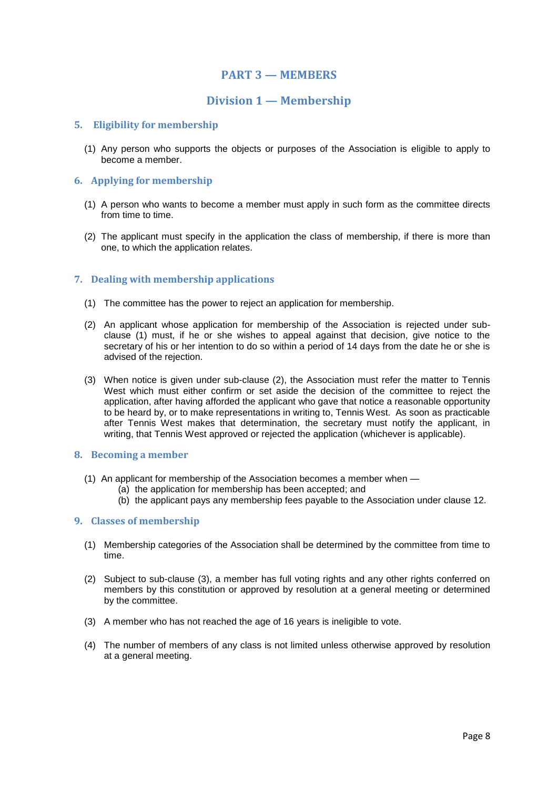# **PART 3 — MEMBERS**

# **Division 1 — Membership**

## <span id="page-7-2"></span><span id="page-7-1"></span><span id="page-7-0"></span>**5. Eligibility for membership**

(1) Any person who supports the objects or purposes of the Association is eligible to apply to become a member.

## <span id="page-7-3"></span>**6. Applying for membership**

- (1) A person who wants to become a member must apply in such form as the committee directs from time to time.
- (2) The applicant must specify in the application the class of membership, if there is more than one, to which the application relates.

## <span id="page-7-4"></span>**7. Dealing with membership applications**

- (1) The committee has the power to reject an application for membership.
- (2) An applicant whose application for membership of the Association is rejected under subclause (1) must, if he or she wishes to appeal against that decision, give notice to the secretary of his or her intention to do so within a period of 14 days from the date he or she is advised of the rejection.
- (3) When notice is given under sub-clause (2), the Association must refer the matter to Tennis West which must either confirm or set aside the decision of the committee to reject the application, after having afforded the applicant who gave that notice a reasonable opportunity to be heard by, or to make representations in writing to, Tennis West. As soon as practicable after Tennis West makes that determination, the secretary must notify the applicant, in writing, that Tennis West approved or rejected the application (whichever is applicable).

# <span id="page-7-5"></span>**8. Becoming a member**

- (1) An applicant for membership of the Association becomes a member when
	- (a) the application for membership has been accepted; and
	- (b) the applicant pays any membership fees payable to the Association under clause 12.

#### <span id="page-7-6"></span>**9. Classes of membership**

- (1) Membership categories of the Association shall be determined by the committee from time to time.
- (2) Subject to sub-clause (3), a member has full voting rights and any other rights conferred on members by this constitution or approved by resolution at a general meeting or determined by the committee.
- (3) A member who has not reached the age of 16 years is ineligible to vote.
- (4) The number of members of any class is not limited unless otherwise approved by resolution at a general meeting.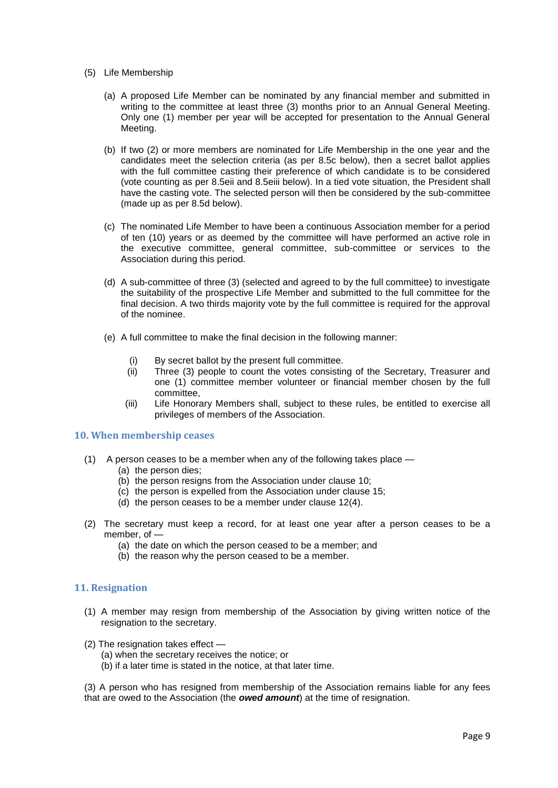- (5) Life Membership
	- (a) A proposed Life Member can be nominated by any financial member and submitted in writing to the committee at least three (3) months prior to an Annual General Meeting. Only one (1) member per year will be accepted for presentation to the Annual General Meeting.
	- (b) If two (2) or more members are nominated for Life Membership in the one year and the candidates meet the selection criteria (as per 8.5c below), then a secret ballot applies with the full committee casting their preference of which candidate is to be considered (vote counting as per 8.5eii and 8.5eiii below). In a tied vote situation, the President shall have the casting vote. The selected person will then be considered by the sub-committee (made up as per 8.5d below).
	- (c) The nominated Life Member to have been a continuous Association member for a period of ten (10) years or as deemed by the committee will have performed an active role in the executive committee, general committee, sub-committee or services to the Association during this period.
	- (d) A sub-committee of three (3) (selected and agreed to by the full committee) to investigate the suitability of the prospective Life Member and submitted to the full committee for the final decision. A two thirds majority vote by the full committee is required for the approval of the nominee.
	- (e) A full committee to make the final decision in the following manner:
		- (i) By secret ballot by the present full committee.
		- (ii) Three (3) people to count the votes consisting of the Secretary, Treasurer and one (1) committee member volunteer or financial member chosen by the full committee,
		- (iii) Life Honorary Members shall, subject to these rules, be entitled to exercise all privileges of members of the Association.

#### <span id="page-8-0"></span>**10. When membership ceases**

- (1) A person ceases to be a member when any of the following takes place
	- (a) the person dies;
	- (b) the person resigns from the Association under clause 10;
	- (c) the person is expelled from the Association under clause 15;
	- (d) the person ceases to be a member under clause 12(4).
- (2) The secretary must keep a record, for at least one year after a person ceases to be a member, of —
	- (a) the date on which the person ceased to be a member; and
	- (b) the reason why the person ceased to be a member.

#### <span id="page-8-1"></span>**11. Resignation**

- (1) A member may resign from membership of the Association by giving written notice of the resignation to the secretary.
- (2) The resignation takes effect
	- (a) when the secretary receives the notice; or
	- (b) if a later time is stated in the notice, at that later time.

(3) A person who has resigned from membership of the Association remains liable for any fees that are owed to the Association (the *owed amount*) at the time of resignation.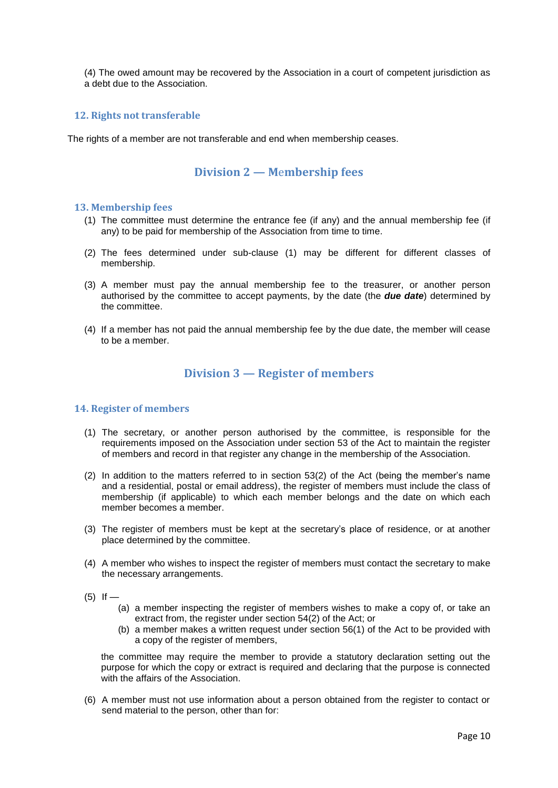(4) The owed amount may be recovered by the Association in a court of competent jurisdiction as a debt due to the Association.

# <span id="page-9-0"></span>**12. Rights not transferable**

<span id="page-9-1"></span>The rights of a member are not transferable and end when membership ceases.

# **Division 2 — M**e**mbership fees**

#### <span id="page-9-2"></span>**13. Membership fees**

- (1) The committee must determine the entrance fee (if any) and the annual membership fee (if any) to be paid for membership of the Association from time to time.
- (2) The fees determined under sub-clause (1) may be different for different classes of membership.
- (3) A member must pay the annual membership fee to the treasurer, or another person authorised by the committee to accept payments, by the date (the *due date*) determined by the committee.
- <span id="page-9-3"></span>(4) If a member has not paid the annual membership fee by the due date, the member will cease to be a member.

# **Division 3 — Register of members**

#### <span id="page-9-4"></span>**14. Register of members**

- (1) The secretary, or another person authorised by the committee, is responsible for the requirements imposed on the Association under section 53 of the Act to maintain the register of members and record in that register any change in the membership of the Association.
- (2) In addition to the matters referred to in section 53(2) of the Act (being the member's name and a residential, postal or email address), the register of members must include the class of membership (if applicable) to which each member belongs and the date on which each member becomes a member.
- (3) The register of members must be kept at the secretary's place of residence, or at another place determined by the committee.
- (4) A member who wishes to inspect the register of members must contact the secretary to make the necessary arrangements.
- $(5)$  If
	- (a) a member inspecting the register of members wishes to make a copy of, or take an extract from, the register under section 54(2) of the Act; or
	- (b) a member makes a written request under section 56(1) of the Act to be provided with a copy of the register of members,

the committee may require the member to provide a statutory declaration setting out the purpose for which the copy or extract is required and declaring that the purpose is connected with the affairs of the Association.

(6) A member must not use information about a person obtained from the register to contact or send material to the person, other than for: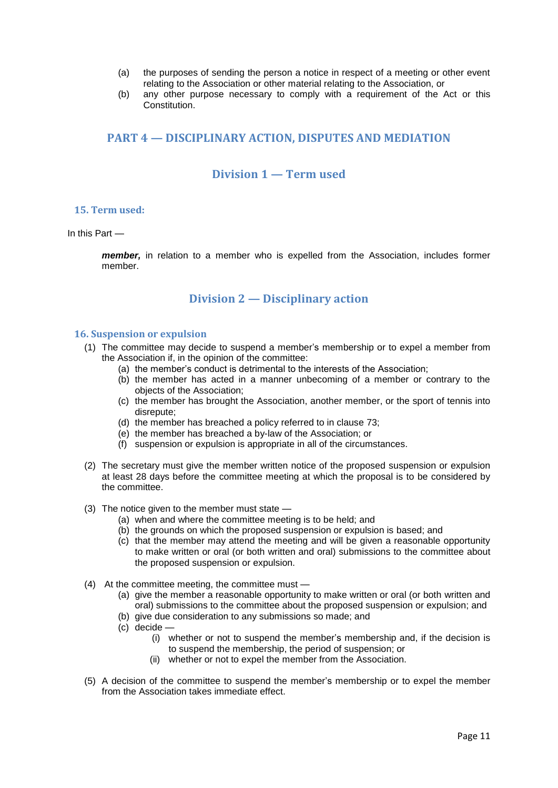- (a) the purposes of sending the person a notice in respect of a meeting or other event relating to the Association or other material relating to the Association, or
- (b) any other purpose necessary to comply with a requirement of the Act or this Constitution.

# <span id="page-10-0"></span>**PART 4 — DISCIPLINARY ACTION, DISPUTES AND MEDIATION**

# **Division 1 — Term used**

## <span id="page-10-2"></span><span id="page-10-1"></span>**15. Term used:**

In this Part —

*member,* in relation to a member who is expelled from the Association, includes former member.

# **Division 2 — Disciplinary action**

## <span id="page-10-4"></span><span id="page-10-3"></span>**16. Suspension or expulsion**

- (1) The committee may decide to suspend a member's membership or to expel a member from the Association if, in the opinion of the committee:
	- (a) the member's conduct is detrimental to the interests of the Association;
	- (b) the member has acted in a manner unbecoming of a member or contrary to the objects of the Association;
	- (c) the member has brought the Association, another member, or the sport of tennis into disrepute;
	- (d) the member has breached a policy referred to in clause 73;
	- (e) the member has breached a by-law of the Association; or
	- (f) suspension or expulsion is appropriate in all of the circumstances.
- (2) The secretary must give the member written notice of the proposed suspension or expulsion at least 28 days before the committee meeting at which the proposal is to be considered by the committee.
- (3) The notice given to the member must state
	- (a) when and where the committee meeting is to be held; and
	- (b) the grounds on which the proposed suspension or expulsion is based; and
	- (c) that the member may attend the meeting and will be given a reasonable opportunity to make written or oral (or both written and oral) submissions to the committee about the proposed suspension or expulsion.
- (4) At the committee meeting, the committee must
	- (a) give the member a reasonable opportunity to make written or oral (or both written and oral) submissions to the committee about the proposed suspension or expulsion; and
	- (b) give due consideration to any submissions so made; and
	- (c) decide
		- (i) whether or not to suspend the member's membership and, if the decision is to suspend the membership, the period of suspension; or
		- (ii) whether or not to expel the member from the Association.
- (5) A decision of the committee to suspend the member's membership or to expel the member from the Association takes immediate effect.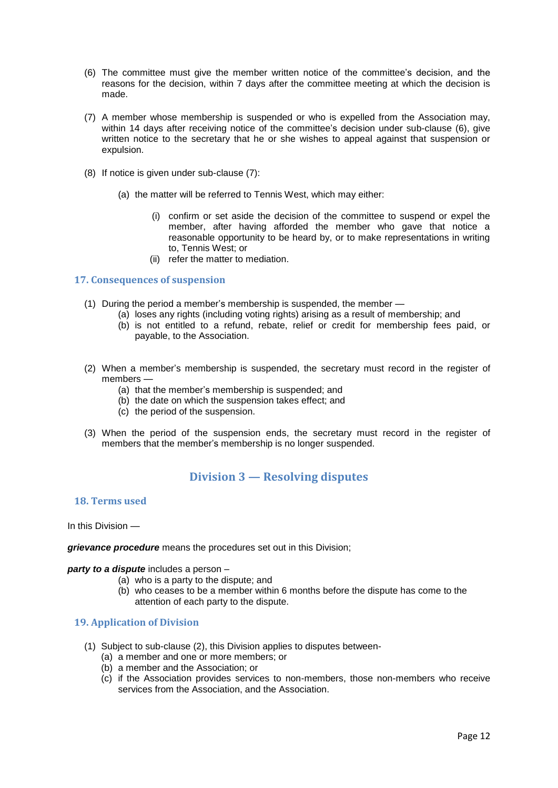- (6) The committee must give the member written notice of the committee's decision, and the reasons for the decision, within 7 days after the committee meeting at which the decision is made.
- (7) A member whose membership is suspended or who is expelled from the Association may, within 14 days after receiving notice of the committee's decision under sub-clause (6), give written notice to the secretary that he or she wishes to appeal against that suspension or expulsion.
- (8) If notice is given under sub-clause (7):
	- (a) the matter will be referred to Tennis West, which may either:
		- (i) confirm or set aside the decision of the committee to suspend or expel the member, after having afforded the member who gave that notice a reasonable opportunity to be heard by, or to make representations in writing to, Tennis West; or
		- (ii) refer the matter to mediation.

#### <span id="page-11-0"></span>**17. Consequences of suspension**

- (1) During the period a member's membership is suspended, the member
	- (a) loses any rights (including voting rights) arising as a result of membership; and
	- (b) is not entitled to a refund, rebate, relief or credit for membership fees paid, or payable, to the Association.
- (2) When a member's membership is suspended, the secretary must record in the register of members —
	- (a) that the member's membership is suspended; and
	- (b) the date on which the suspension takes effect; and
	- (c) the period of the suspension.
- <span id="page-11-1"></span>(3) When the period of the suspension ends, the secretary must record in the register of members that the member's membership is no longer suspended.

# **Division 3 — Resolving disputes**

#### <span id="page-11-2"></span>**18. Terms used**

In this Division —

*grievance procedure* means the procedures set out in this Division;

#### *party to a dispute* includes a person –

- (a) who is a party to the dispute; and
- (b) who ceases to be a member within 6 months before the dispute has come to the attention of each party to the dispute.

#### <span id="page-11-3"></span>**19. Application of Division**

- (1) Subject to sub-clause (2), this Division applies to disputes between-
	- (a) a member and one or more members; or
	- (b) a member and the Association; or
	- (c) if the Association provides services to non-members, those non-members who receive services from the Association, and the Association.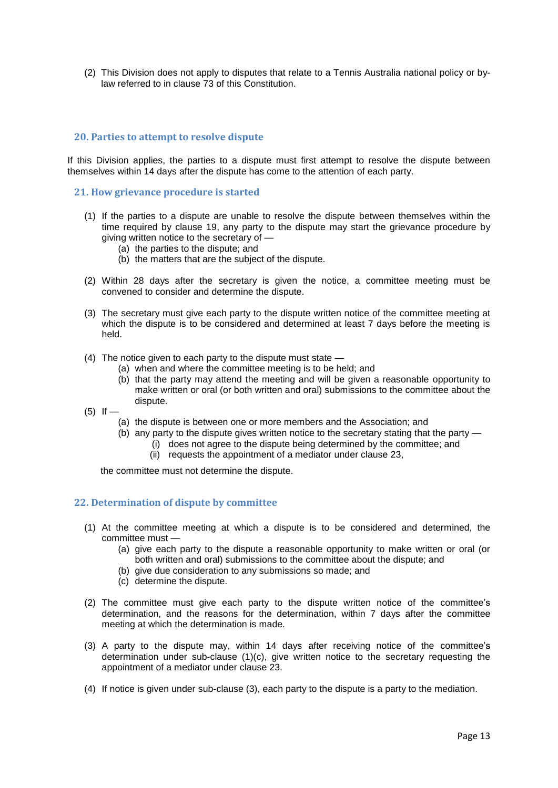(2) This Division does not apply to disputes that relate to a Tennis Australia national policy or bylaw referred to in clause 73 of this Constitution.

# <span id="page-12-0"></span>**20. Parties to attempt to resolve dispute**

If this Division applies, the parties to a dispute must first attempt to resolve the dispute between themselves within 14 days after the dispute has come to the attention of each party.

#### <span id="page-12-1"></span>**21. How grievance procedure is started**

- (1) If the parties to a dispute are unable to resolve the dispute between themselves within the time required by clause 19, any party to the dispute may start the grievance procedure by giving written notice to the secretary of —
	- (a) the parties to the dispute; and
	- (b) the matters that are the subject of the dispute.
- (2) Within 28 days after the secretary is given the notice, a committee meeting must be convened to consider and determine the dispute.
- (3) The secretary must give each party to the dispute written notice of the committee meeting at which the dispute is to be considered and determined at least 7 days before the meeting is held.
- (4) The notice given to each party to the dispute must state
	- (a) when and where the committee meeting is to be held; and
	- (b) that the party may attend the meeting and will be given a reasonable opportunity to make written or oral (or both written and oral) submissions to the committee about the dispute.
- $(5)$  If
	- (a) the dispute is between one or more members and the Association; and
	- (b) any party to the dispute gives written notice to the secretary stating that the party
		- (i) does not agree to the dispute being determined by the committee; and
			- (ii) requests the appointment of a mediator under clause 23,

the committee must not determine the dispute.

#### <span id="page-12-2"></span>**22. Determination of dispute by committee**

- (1) At the committee meeting at which a dispute is to be considered and determined, the committee must —
	- (a) give each party to the dispute a reasonable opportunity to make written or oral (or both written and oral) submissions to the committee about the dispute; and
	- (b) give due consideration to any submissions so made; and
	- (c) determine the dispute.
- (2) The committee must give each party to the dispute written notice of the committee's determination, and the reasons for the determination, within 7 days after the committee meeting at which the determination is made.
- (3) A party to the dispute may, within 14 days after receiving notice of the committee's determination under sub-clause (1)(c), give written notice to the secretary requesting the appointment of a mediator under clause 23.
- (4) If notice is given under sub-clause (3), each party to the dispute is a party to the mediation.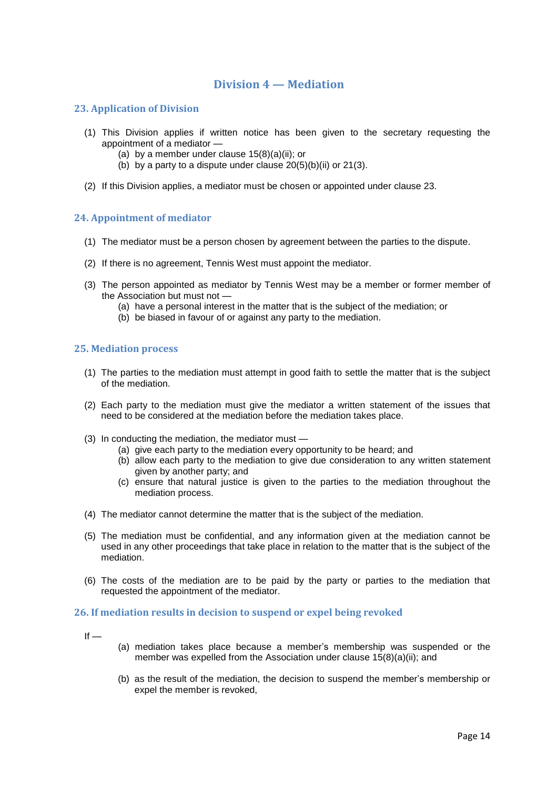# **Division 4 — Mediation**

## <span id="page-13-1"></span><span id="page-13-0"></span>**23. Application of Division**

- (1) This Division applies if written notice has been given to the secretary requesting the appointment of a mediator —
	- (a) by a member under clause  $15(8)(a)(ii)$ ; or
	- (b) by a party to a dispute under clause  $20(5)(b)(ii)$  or  $21(3)$ .
- (2) If this Division applies, a mediator must be chosen or appointed under clause 23.

## <span id="page-13-2"></span>**24. Appointment of mediator**

- (1) The mediator must be a person chosen by agreement between the parties to the dispute.
- (2) If there is no agreement, Tennis West must appoint the mediator.
- (3) The person appointed as mediator by Tennis West may be a member or former member of the Association but must not —
	- (a) have a personal interest in the matter that is the subject of the mediation; or
	- (b) be biased in favour of or against any party to the mediation.

#### <span id="page-13-3"></span>**25. Mediation process**

- (1) The parties to the mediation must attempt in good faith to settle the matter that is the subject of the mediation.
- (2) Each party to the mediation must give the mediator a written statement of the issues that need to be considered at the mediation before the mediation takes place.
- (3) In conducting the mediation, the mediator must
	- (a) give each party to the mediation every opportunity to be heard; and
	- (b) allow each party to the mediation to give due consideration to any written statement given by another party; and
	- (c) ensure that natural justice is given to the parties to the mediation throughout the mediation process.
- (4) The mediator cannot determine the matter that is the subject of the mediation.
- (5) The mediation must be confidential, and any information given at the mediation cannot be used in any other proceedings that take place in relation to the matter that is the subject of the mediation.
- (6) The costs of the mediation are to be paid by the party or parties to the mediation that requested the appointment of the mediator.

#### <span id="page-13-4"></span>**26. If mediation results in decision to suspend or expel being revoked**

- $If -$
- (a) mediation takes place because a member's membership was suspended or the member was expelled from the Association under clause 15(8)(a)(ii); and
- (b) as the result of the mediation, the decision to suspend the member's membership or expel the member is revoked,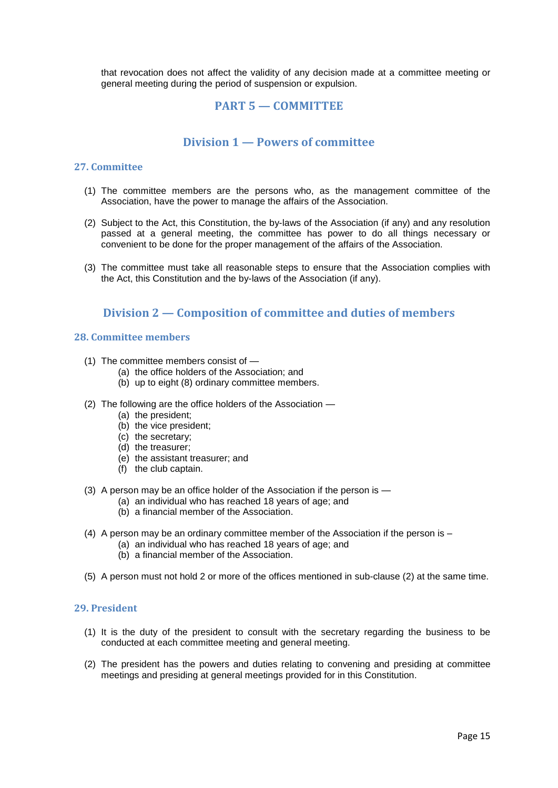<span id="page-14-0"></span>that revocation does not affect the validity of any decision made at a committee meeting or general meeting during the period of suspension or expulsion.

# **PART 5 — COMMITTEE**

# **Division 1 — Powers of committee**

## <span id="page-14-2"></span><span id="page-14-1"></span>**27. Committee**

- (1) The committee members are the persons who, as the management committee of the Association, have the power to manage the affairs of the Association.
- (2) Subject to the Act, this Constitution, the by-laws of the Association (if any) and any resolution passed at a general meeting, the committee has power to do all things necessary or convenient to be done for the proper management of the affairs of the Association.
- (3) The committee must take all reasonable steps to ensure that the Association complies with the Act, this Constitution and the by-laws of the Association (if any).

# **Division 2 — Composition of committee and duties of members**

## <span id="page-14-4"></span><span id="page-14-3"></span>**28. Committee members**

- (1) The committee members consist of
	- (a) the office holders of the Association; and
	- (b) up to eight (8) ordinary committee members.
- (2) The following are the office holders of the Association
	- (a) the president;
	- (b) the vice president;
	- (c) the secretary;
	- (d) the treasurer;
	- (e) the assistant treasurer; and
	- (f) the club captain.
- (3) A person may be an office holder of the Association if the person is
	- (a) an individual who has reached 18 years of age; and
	- (b) a financial member of the Association.
- (4) A person may be an ordinary committee member of the Association if the person is
	- (a) an individual who has reached 18 years of age; and
	- (b) a financial member of the Association.
- (5) A person must not hold 2 or more of the offices mentioned in sub-clause (2) at the same time.

#### <span id="page-14-5"></span>**29. President**

- (1) It is the duty of the president to consult with the secretary regarding the business to be conducted at each committee meeting and general meeting.
- (2) The president has the powers and duties relating to convening and presiding at committee meetings and presiding at general meetings provided for in this Constitution.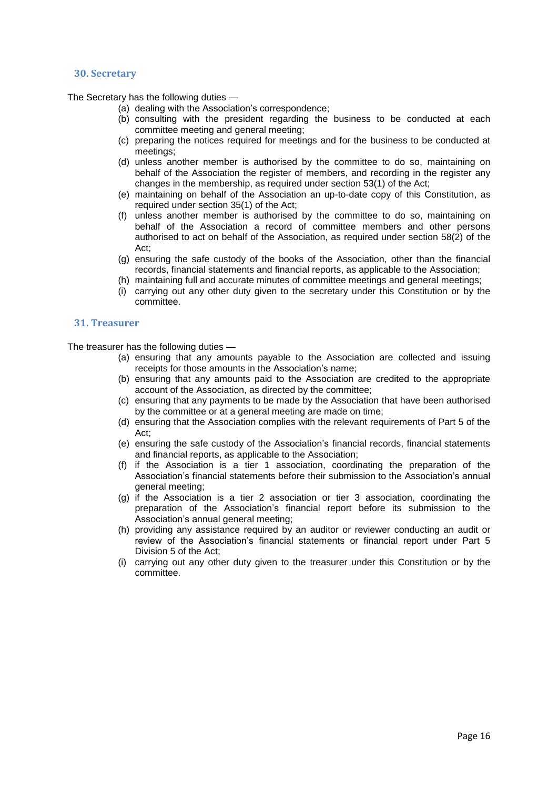#### <span id="page-15-0"></span>**30. Secretary**

The Secretary has the following duties —

- (a) dealing with the Association's correspondence;
- (b) consulting with the president regarding the business to be conducted at each committee meeting and general meeting;
- (c) preparing the notices required for meetings and for the business to be conducted at meetings;
- (d) unless another member is authorised by the committee to do so, maintaining on behalf of the Association the register of members, and recording in the register any changes in the membership, as required under section 53(1) of the Act;
- (e) maintaining on behalf of the Association an up-to-date copy of this Constitution, as required under section 35(1) of the Act;
- (f) unless another member is authorised by the committee to do so, maintaining on behalf of the Association a record of committee members and other persons authorised to act on behalf of the Association, as required under section 58(2) of the Act;
- (g) ensuring the safe custody of the books of the Association, other than the financial records, financial statements and financial reports, as applicable to the Association;
- (h) maintaining full and accurate minutes of committee meetings and general meetings;
- (i) carrying out any other duty given to the secretary under this Constitution or by the committee.

# <span id="page-15-1"></span>**31. Treasurer**

The treasurer has the following duties —

- (a) ensuring that any amounts payable to the Association are collected and issuing receipts for those amounts in the Association's name;
- (b) ensuring that any amounts paid to the Association are credited to the appropriate account of the Association, as directed by the committee;
- (c) ensuring that any payments to be made by the Association that have been authorised by the committee or at a general meeting are made on time;
- (d) ensuring that the Association complies with the relevant requirements of Part 5 of the Act;
- (e) ensuring the safe custody of the Association's financial records, financial statements and financial reports, as applicable to the Association;
- (f) if the Association is a tier 1 association, coordinating the preparation of the Association's financial statements before their submission to the Association's annual general meeting;
- (g) if the Association is a tier 2 association or tier 3 association, coordinating the preparation of the Association's financial report before its submission to the Association's annual general meeting;
- (h) providing any assistance required by an auditor or reviewer conducting an audit or review of the Association's financial statements or financial report under Part 5 Division 5 of the Act;
- (i) carrying out any other duty given to the treasurer under this Constitution or by the committee.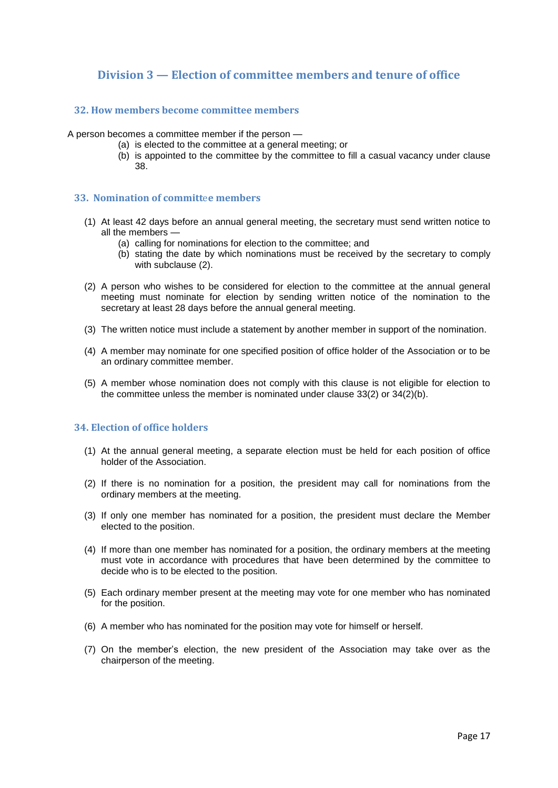# <span id="page-16-0"></span>**Division 3 — Election of committee members and tenure of office**

# <span id="page-16-1"></span>**32. How members become committee members**

A person becomes a committee member if the person —

- (a) is elected to the committee at a general meeting; or
- (b) is appointed to the committee by the committee to fill a casual vacancy under clause 38.

#### <span id="page-16-2"></span>**33. Nomination of committ**e**e members**

- (1) At least 42 days before an annual general meeting, the secretary must send written notice to all the members —
	- (a) calling for nominations for election to the committee; and
	- (b) stating the date by which nominations must be received by the secretary to comply with subclause (2).
- (2) A person who wishes to be considered for election to the committee at the annual general meeting must nominate for election by sending written notice of the nomination to the secretary at least 28 days before the annual general meeting.
- (3) The written notice must include a statement by another member in support of the nomination.
- (4) A member may nominate for one specified position of office holder of the Association or to be an ordinary committee member.
- (5) A member whose nomination does not comply with this clause is not eligible for election to the committee unless the member is nominated under clause 33(2) or 34(2)(b).

# <span id="page-16-3"></span>**34. Election of office holders**

- (1) At the annual general meeting, a separate election must be held for each position of office holder of the Association.
- (2) If there is no nomination for a position, the president may call for nominations from the ordinary members at the meeting.
- (3) If only one member has nominated for a position, the president must declare the Member elected to the position.
- (4) If more than one member has nominated for a position, the ordinary members at the meeting must vote in accordance with procedures that have been determined by the committee to decide who is to be elected to the position.
- (5) Each ordinary member present at the meeting may vote for one member who has nominated for the position.
- (6) A member who has nominated for the position may vote for himself or herself.
- (7) On the member's election, the new president of the Association may take over as the chairperson of the meeting.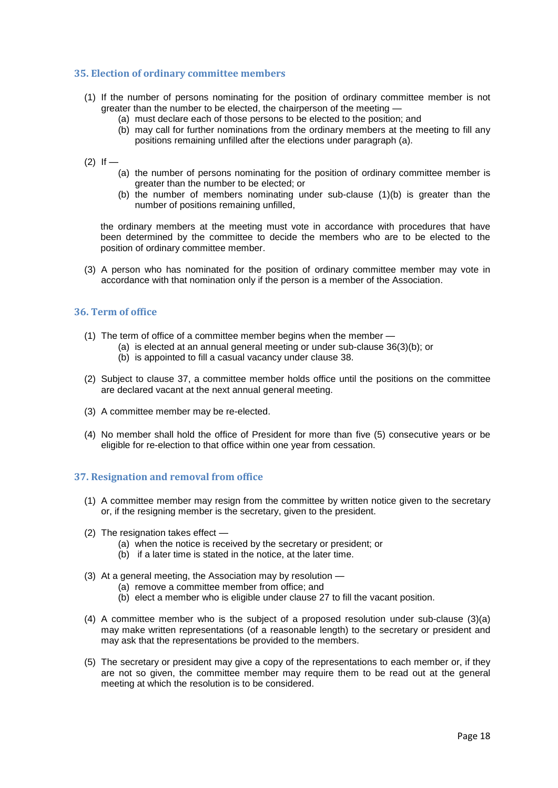## <span id="page-17-0"></span>**35. Election of ordinary committee members**

- (1) If the number of persons nominating for the position of ordinary committee member is not greater than the number to be elected, the chairperson of the meeting —
	- (a) must declare each of those persons to be elected to the position; and
	- (b) may call for further nominations from the ordinary members at the meeting to fill any positions remaining unfilled after the elections under paragraph (a).
- $(2)$  If
	- (a) the number of persons nominating for the position of ordinary committee member is greater than the number to be elected; or
	- (b) the number of members nominating under sub-clause (1)(b) is greater than the number of positions remaining unfilled,

the ordinary members at the meeting must vote in accordance with procedures that have been determined by the committee to decide the members who are to be elected to the position of ordinary committee member.

(3) A person who has nominated for the position of ordinary committee member may vote in accordance with that nomination only if the person is a member of the Association.

# <span id="page-17-1"></span>**36. Term of office**

- $(1)$  The term of office of a committee member begins when the member  $\overline{\phantom{a}}$ 
	- (a) is elected at an annual general meeting or under sub-clause 36(3)(b); or
	- (b) is appointed to fill a casual vacancy under clause 38.
- (2) Subject to clause 37, a committee member holds office until the positions on the committee are declared vacant at the next annual general meeting.
- (3) A committee member may be re-elected.
- (4) No member shall hold the office of President for more than five (5) consecutive years or be eligible for re-election to that office within one year from cessation.

## <span id="page-17-2"></span>**37. Resignation and removal from office**

- (1) A committee member may resign from the committee by written notice given to the secretary or, if the resigning member is the secretary, given to the president.
- (2) The resignation takes effect
	- (a) when the notice is received by the secretary or president; or
	- (b) if a later time is stated in the notice, at the later time.
- (3) At a general meeting, the Association may by resolution
	- (a) remove a committee member from office; and
	- (b) elect a member who is eligible under clause 27 to fill the vacant position.
- (4) A committee member who is the subject of a proposed resolution under sub-clause (3)(a) may make written representations (of a reasonable length) to the secretary or president and may ask that the representations be provided to the members.
- (5) The secretary or president may give a copy of the representations to each member or, if they are not so given, the committee member may require them to be read out at the general meeting at which the resolution is to be considered.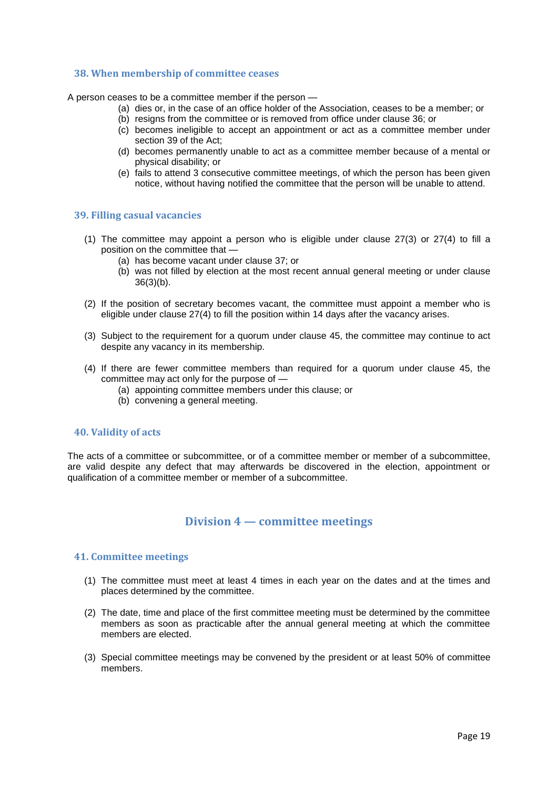#### <span id="page-18-0"></span>**38. When membership of committee ceases**

A person ceases to be a committee member if the person —

- (a) dies or, in the case of an office holder of the Association, ceases to be a member; or
- (b) resigns from the committee or is removed from office under clause 36; or
- (c) becomes ineligible to accept an appointment or act as a committee member under section 39 of the Act;
- (d) becomes permanently unable to act as a committee member because of a mental or physical disability; or
- (e) fails to attend 3 consecutive committee meetings, of which the person has been given notice, without having notified the committee that the person will be unable to attend.

## <span id="page-18-1"></span>**39. Filling casual vacancies**

- (1) The committee may appoint a person who is eligible under clause 27(3) or 27(4) to fill a position on the committee that —
	- (a) has become vacant under clause 37; or
	- (b) was not filled by election at the most recent annual general meeting or under clause 36(3)(b).
- (2) If the position of secretary becomes vacant, the committee must appoint a member who is eligible under clause 27(4) to fill the position within 14 days after the vacancy arises.
- (3) Subject to the requirement for a quorum under clause 45, the committee may continue to act despite any vacancy in its membership.
- (4) If there are fewer committee members than required for a quorum under clause 45, the committee may act only for the purpose of —
	- (a) appointing committee members under this clause; or
	- (b) convening a general meeting.

#### <span id="page-18-2"></span>**40. Validity of acts**

The acts of a committee or subcommittee, or of a committee member or member of a subcommittee, are valid despite any defect that may afterwards be discovered in the election, appointment or qualification of a committee member or member of a subcommittee.

# **Division 4 — committee meetings**

#### <span id="page-18-4"></span><span id="page-18-3"></span>**41. Committee meetings**

- (1) The committee must meet at least 4 times in each year on the dates and at the times and places determined by the committee.
- (2) The date, time and place of the first committee meeting must be determined by the committee members as soon as practicable after the annual general meeting at which the committee members are elected.
- (3) Special committee meetings may be convened by the president or at least 50% of committee members.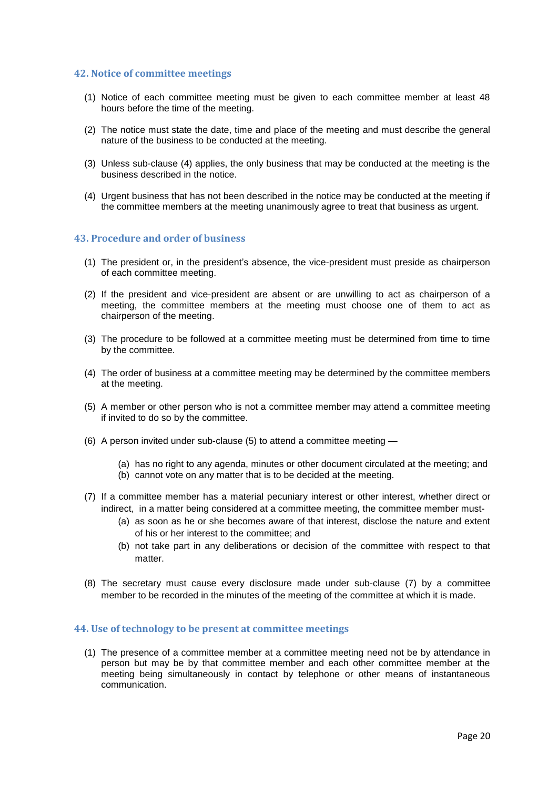#### <span id="page-19-0"></span>**42. Notice of committee meetings**

- (1) Notice of each committee meeting must be given to each committee member at least 48 hours before the time of the meeting.
- (2) The notice must state the date, time and place of the meeting and must describe the general nature of the business to be conducted at the meeting.
- (3) Unless sub-clause (4) applies, the only business that may be conducted at the meeting is the business described in the notice.
- (4) Urgent business that has not been described in the notice may be conducted at the meeting if the committee members at the meeting unanimously agree to treat that business as urgent.

#### <span id="page-19-1"></span>**43. Procedure and order of business**

- (1) The president or, in the president's absence, the vice-president must preside as chairperson of each committee meeting.
- (2) If the president and vice-president are absent or are unwilling to act as chairperson of a meeting, the committee members at the meeting must choose one of them to act as chairperson of the meeting.
- (3) The procedure to be followed at a committee meeting must be determined from time to time by the committee.
- (4) The order of business at a committee meeting may be determined by the committee members at the meeting.
- (5) A member or other person who is not a committee member may attend a committee meeting if invited to do so by the committee.
- (6) A person invited under sub-clause (5) to attend a committee meeting
	- (a) has no right to any agenda, minutes or other document circulated at the meeting; and
	- (b) cannot vote on any matter that is to be decided at the meeting.
- (7) If a committee member has a material pecuniary interest or other interest, whether direct or indirect, in a matter being considered at a committee meeting, the committee member must-
	- (a) as soon as he or she becomes aware of that interest, disclose the nature and extent of his or her interest to the committee; and
	- (b) not take part in any deliberations or decision of the committee with respect to that matter
- (8) The secretary must cause every disclosure made under sub-clause (7) by a committee member to be recorded in the minutes of the meeting of the committee at which it is made.

#### <span id="page-19-2"></span>**44. Use of technology to be present at committee meetings**

(1) The presence of a committee member at a committee meeting need not be by attendance in person but may be by that committee member and each other committee member at the meeting being simultaneously in contact by telephone or other means of instantaneous communication.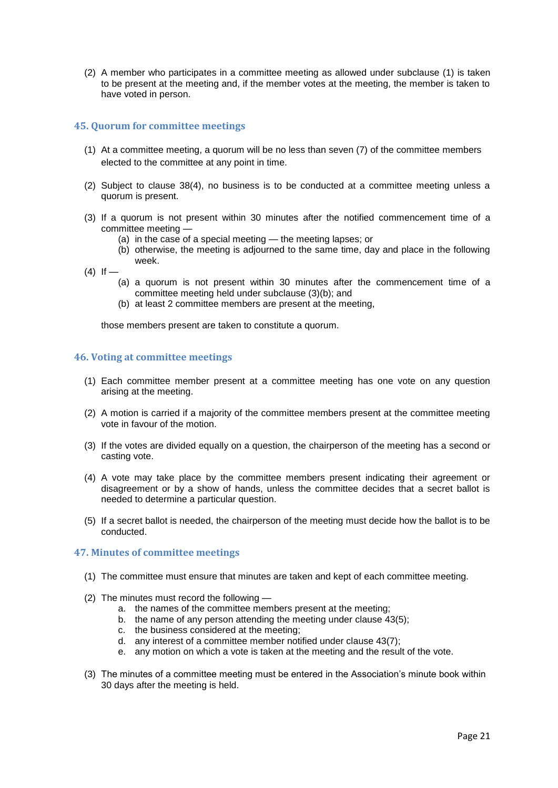(2) A member who participates in a committee meeting as allowed under subclause (1) is taken to be present at the meeting and, if the member votes at the meeting, the member is taken to have voted in person.

# <span id="page-20-0"></span>**45. Quorum for committee meetings**

- (1) At a committee meeting, a quorum will be no less than seven (7) of the committee members elected to the committee at any point in time.
- (2) Subject to clause 38(4), no business is to be conducted at a committee meeting unless a quorum is present.
- (3) If a quorum is not present within 30 minutes after the notified commencement time of a committee meeting —
	- (a) in the case of a special meeting the meeting lapses; or
	- (b) otherwise, the meeting is adjourned to the same time, day and place in the following week.
- $(4)$  If
	- (a) a quorum is not present within 30 minutes after the commencement time of a committee meeting held under subclause (3)(b); and
	- (b) at least 2 committee members are present at the meeting,

those members present are taken to constitute a quorum.

#### <span id="page-20-1"></span>**46. Voting at committee meetings**

- (1) Each committee member present at a committee meeting has one vote on any question arising at the meeting.
- (2) A motion is carried if a majority of the committee members present at the committee meeting vote in favour of the motion.
- (3) If the votes are divided equally on a question, the chairperson of the meeting has a second or casting vote.
- (4) A vote may take place by the committee members present indicating their agreement or disagreement or by a show of hands, unless the committee decides that a secret ballot is needed to determine a particular question.
- (5) If a secret ballot is needed, the chairperson of the meeting must decide how the ballot is to be conducted.

#### <span id="page-20-2"></span>**47. Minutes of committee meetings**

- (1) The committee must ensure that minutes are taken and kept of each committee meeting.
- (2) The minutes must record the following
	- a. the names of the committee members present at the meeting;
	- b. the name of any person attending the meeting under clause 43(5);
	- c. the business considered at the meeting;
	- d. any interest of a committee member notified under clause 43(7);
	- e. any motion on which a vote is taken at the meeting and the result of the vote.
- (3) The minutes of a committee meeting must be entered in the Association's minute book within 30 days after the meeting is held.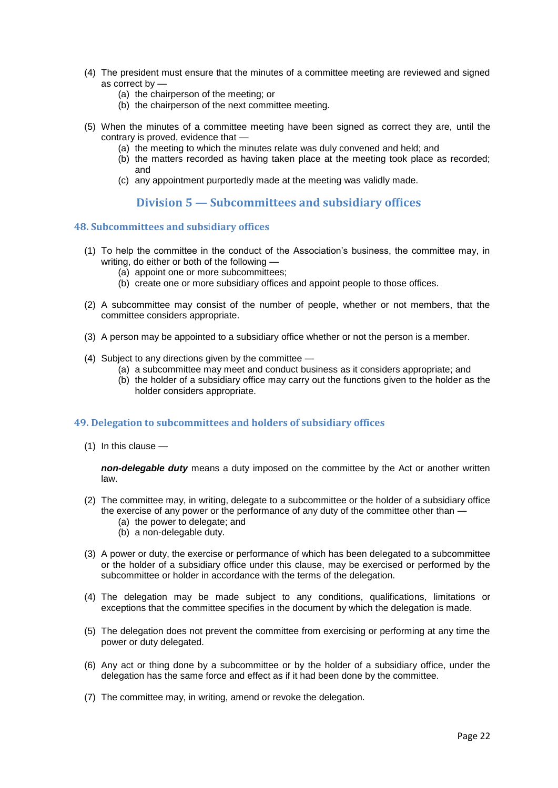- (4) The president must ensure that the minutes of a committee meeting are reviewed and signed as correct by —
	- (a) the chairperson of the meeting; or
	- (b) the chairperson of the next committee meeting.
- (5) When the minutes of a committee meeting have been signed as correct they are, until the contrary is proved, evidence that —
	- (a) the meeting to which the minutes relate was duly convened and held; and
	- (b) the matters recorded as having taken place at the meeting took place as recorded; and
	- (c) any appointment purportedly made at the meeting was validly made.

# **Division 5 — Subcommittees and subsidiary offices**

## <span id="page-21-1"></span><span id="page-21-0"></span>**48. Subcommittees and subs**i**diary offices**

- (1) To help the committee in the conduct of the Association's business, the committee may, in writing, do either or both of the following —
	- (a) appoint one or more subcommittees;
	- (b) create one or more subsidiary offices and appoint people to those offices.
- (2) A subcommittee may consist of the number of people, whether or not members, that the committee considers appropriate.
- (3) A person may be appointed to a subsidiary office whether or not the person is a member.
- (4) Subject to any directions given by the committee
	- (a) a subcommittee may meet and conduct business as it considers appropriate; and
	- (b) the holder of a subsidiary office may carry out the functions given to the holder as the holder considers appropriate.

# <span id="page-21-2"></span>**49. Delegation to subcommittees and holders of subsidiary offices**

(1) In this clause —

*non-delegable duty* means a duty imposed on the committee by the Act or another written law.

- (2) The committee may, in writing, delegate to a subcommittee or the holder of a subsidiary office the exercise of any power or the performance of any duty of the committee other than —
	- (a) the power to delegate; and
	- (b) a non-delegable duty.
- (3) A power or duty, the exercise or performance of which has been delegated to a subcommittee or the holder of a subsidiary office under this clause, may be exercised or performed by the subcommittee or holder in accordance with the terms of the delegation.
- (4) The delegation may be made subject to any conditions, qualifications, limitations or exceptions that the committee specifies in the document by which the delegation is made.
- (5) The delegation does not prevent the committee from exercising or performing at any time the power or duty delegated.
- (6) Any act or thing done by a subcommittee or by the holder of a subsidiary office, under the delegation has the same force and effect as if it had been done by the committee.
- (7) The committee may, in writing, amend or revoke the delegation.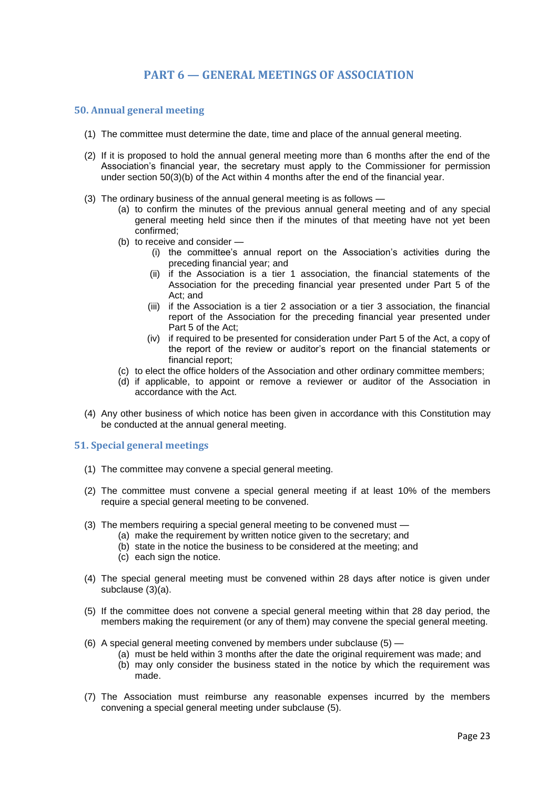# **PART 6 — GENERAL MEETINGS OF ASSOCIATION**

## <span id="page-22-1"></span><span id="page-22-0"></span>**50. Annual general meeting**

- (1) The committee must determine the date, time and place of the annual general meeting.
- (2) If it is proposed to hold the annual general meeting more than 6 months after the end of the Association's financial year, the secretary must apply to the Commissioner for permission under section 50(3)(b) of the Act within 4 months after the end of the financial year.
- (3) The ordinary business of the annual general meeting is as follows
	- (a) to confirm the minutes of the previous annual general meeting and of any special general meeting held since then if the minutes of that meeting have not yet been confirmed;
	- (b) to receive and consider
		- (i) the committee's annual report on the Association's activities during the preceding financial year; and
		- (ii) if the Association is a tier 1 association, the financial statements of the Association for the preceding financial year presented under Part 5 of the Act; and
		- (iii) if the Association is a tier 2 association or a tier 3 association, the financial report of the Association for the preceding financial year presented under Part 5 of the Act;
		- (iv) if required to be presented for consideration under Part 5 of the Act, a copy of the report of the review or auditor's report on the financial statements or financial report;
	- (c) to elect the office holders of the Association and other ordinary committee members;
	- (d) if applicable, to appoint or remove a reviewer or auditor of the Association in accordance with the Act.
- (4) Any other business of which notice has been given in accordance with this Constitution may be conducted at the annual general meeting.

## <span id="page-22-2"></span>**51. Special general meetings**

- (1) The committee may convene a special general meeting.
- (2) The committee must convene a special general meeting if at least 10% of the members require a special general meeting to be convened.
- (3) The members requiring a special general meeting to be convened must
	- (a) make the requirement by written notice given to the secretary; and
		- (b) state in the notice the business to be considered at the meeting; and
		- (c) each sign the notice.
- (4) The special general meeting must be convened within 28 days after notice is given under subclause (3)(a).
- (5) If the committee does not convene a special general meeting within that 28 day period, the members making the requirement (or any of them) may convene the special general meeting.
- (6) A special general meeting convened by members under subclause (5)
	- (a) must be held within 3 months after the date the original requirement was made; and
	- (b) may only consider the business stated in the notice by which the requirement was made.
- (7) The Association must reimburse any reasonable expenses incurred by the members convening a special general meeting under subclause (5).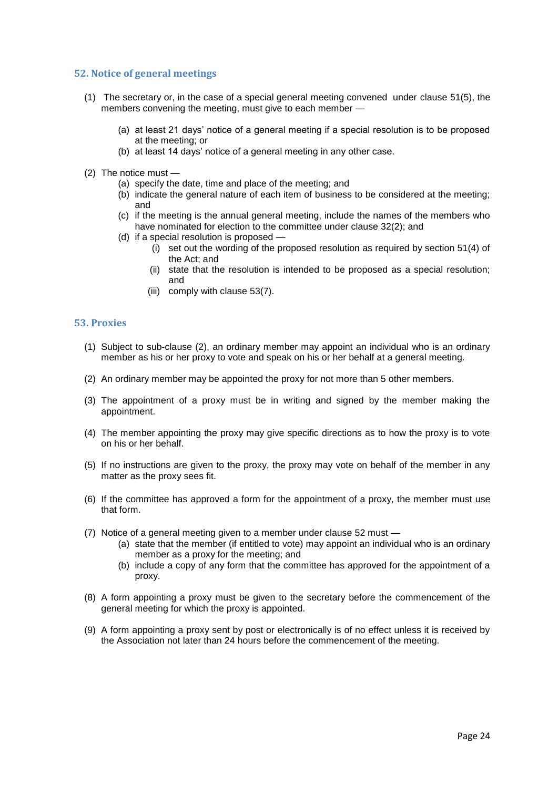## <span id="page-23-0"></span>**52. Notice of general meetings**

- (1) The secretary or, in the case of a special general meeting convened under clause 51(5), the members convening the meeting, must give to each member —
	- (a) at least 21 days' notice of a general meeting if a special resolution is to be proposed at the meeting; or
	- (b) at least 14 days' notice of a general meeting in any other case.
- (2) The notice must
	- (a) specify the date, time and place of the meeting; and
	- (b) indicate the general nature of each item of business to be considered at the meeting; and
	- (c) if the meeting is the annual general meeting, include the names of the members who have nominated for election to the committee under clause 32(2); and
	- (d) if a special resolution is proposed
		- (i) set out the wording of the proposed resolution as required by section 51(4) of the Act; and
		- (ii) state that the resolution is intended to be proposed as a special resolution; and
		- (iii) comply with clause 53(7).

#### <span id="page-23-1"></span>**53. Proxies**

- (1) Subject to sub-clause (2), an ordinary member may appoint an individual who is an ordinary member as his or her proxy to vote and speak on his or her behalf at a general meeting.
- (2) An ordinary member may be appointed the proxy for not more than 5 other members.
- (3) The appointment of a proxy must be in writing and signed by the member making the appointment.
- (4) The member appointing the proxy may give specific directions as to how the proxy is to vote on his or her behalf.
- (5) If no instructions are given to the proxy, the proxy may vote on behalf of the member in any matter as the proxy sees fit.
- (6) If the committee has approved a form for the appointment of a proxy, the member must use that form.
- (7) Notice of a general meeting given to a member under clause 52 must
	- (a) state that the member (if entitled to vote) may appoint an individual who is an ordinary member as a proxy for the meeting; and
	- (b) include a copy of any form that the committee has approved for the appointment of a proxy.
- (8) A form appointing a proxy must be given to the secretary before the commencement of the general meeting for which the proxy is appointed.
- (9) A form appointing a proxy sent by post or electronically is of no effect unless it is received by the Association not later than 24 hours before the commencement of the meeting.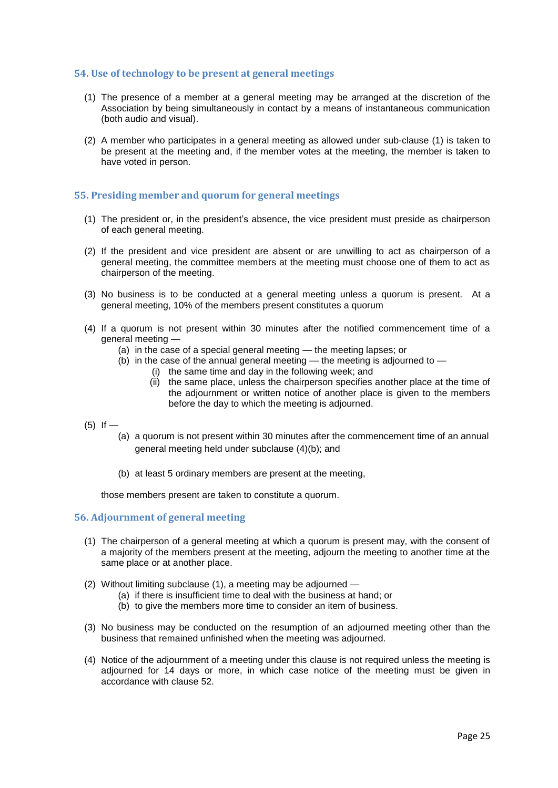## <span id="page-24-0"></span>**54. Use of technology to be present at general meetings**

- (1) The presence of a member at a general meeting may be arranged at the discretion of the Association by being simultaneously in contact by a means of instantaneous communication (both audio and visual).
- (2) A member who participates in a general meeting as allowed under sub-clause (1) is taken to be present at the meeting and, if the member votes at the meeting, the member is taken to have voted in person.

# <span id="page-24-1"></span>**55. Presiding member and quorum for general meetings**

- (1) The president or, in the president's absence, the vice president must preside as chairperson of each general meeting.
- (2) If the president and vice president are absent or are unwilling to act as chairperson of a general meeting, the committee members at the meeting must choose one of them to act as chairperson of the meeting.
- (3) No business is to be conducted at a general meeting unless a quorum is present. At a general meeting, 10% of the members present constitutes a quorum
- (4) If a quorum is not present within 30 minutes after the notified commencement time of a general meeting —
	- (a) in the case of a special general meeting the meeting lapses; or
	- (b) in the case of the annual general meeting the meeting is adjourned to
		- (i) the same time and day in the following week; and
			- (ii) the same place, unless the chairperson specifies another place at the time of the adjournment or written notice of another place is given to the members before the day to which the meeting is adjourned.
- $(5)$  If
	- (a) a quorum is not present within 30 minutes after the commencement time of an annual general meeting held under subclause (4)(b); and
	- (b) at least 5 ordinary members are present at the meeting,

those members present are taken to constitute a quorum.

# <span id="page-24-2"></span>**56. Adjournment of general meeting**

- (1) The chairperson of a general meeting at which a quorum is present may, with the consent of a majority of the members present at the meeting, adjourn the meeting to another time at the same place or at another place.
- (2) Without limiting subclause (1), a meeting may be adjourned
	- (a) if there is insufficient time to deal with the business at hand; or
	- (b) to give the members more time to consider an item of business.
- (3) No business may be conducted on the resumption of an adjourned meeting other than the business that remained unfinished when the meeting was adjourned.
- (4) Notice of the adjournment of a meeting under this clause is not required unless the meeting is adjourned for 14 days or more, in which case notice of the meeting must be given in accordance with clause 52.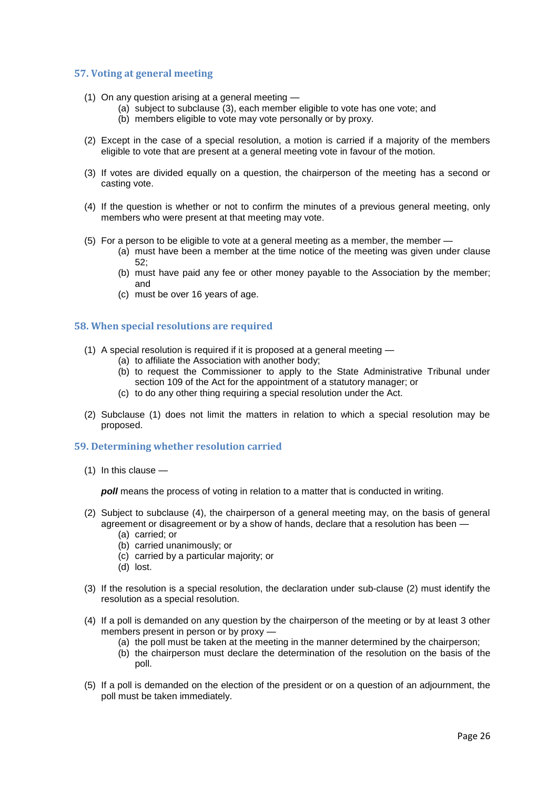## <span id="page-25-0"></span>**57. Voting at general meeting**

- (1) On any question arising at a general meeting
	- (a) subject to subclause (3), each member eligible to vote has one vote; and
	- (b) members eligible to vote may vote personally or by proxy.
- (2) Except in the case of a special resolution, a motion is carried if a majority of the members eligible to vote that are present at a general meeting vote in favour of the motion.
- (3) If votes are divided equally on a question, the chairperson of the meeting has a second or casting vote.
- (4) If the question is whether or not to confirm the minutes of a previous general meeting, only members who were present at that meeting may vote.
- (5) For a person to be eligible to vote at a general meeting as a member, the member
	- (a) must have been a member at the time notice of the meeting was given under clause 52;
	- (b) must have paid any fee or other money payable to the Association by the member; and
	- (c) must be over 16 years of age.

# <span id="page-25-1"></span>**58. When special resolutions are required**

- (1) A special resolution is required if it is proposed at a general meeting
	- (a) to affiliate the Association with another body;
	- (b) to request the Commissioner to apply to the State Administrative Tribunal under section 109 of the Act for the appointment of a statutory manager; or
	- (c) to do any other thing requiring a special resolution under the Act.
- (2) Subclause (1) does not limit the matters in relation to which a special resolution may be proposed.

# <span id="page-25-2"></span>**59. Determining whether resolution carried**

(1) In this clause —

*poll* means the process of voting in relation to a matter that is conducted in writing.

- (2) Subject to subclause (4), the chairperson of a general meeting may, on the basis of general agreement or disagreement or by a show of hands, declare that a resolution has been —
	- (a) carried; or
	- (b) carried unanimously; or
	- (c) carried by a particular majority; or
	- (d) lost.
- (3) If the resolution is a special resolution, the declaration under sub-clause (2) must identify the resolution as a special resolution.
- (4) If a poll is demanded on any question by the chairperson of the meeting or by at least 3 other members present in person or by proxy —
	- (a) the poll must be taken at the meeting in the manner determined by the chairperson;
	- (b) the chairperson must declare the determination of the resolution on the basis of the poll.
- (5) If a poll is demanded on the election of the president or on a question of an adjournment, the poll must be taken immediately.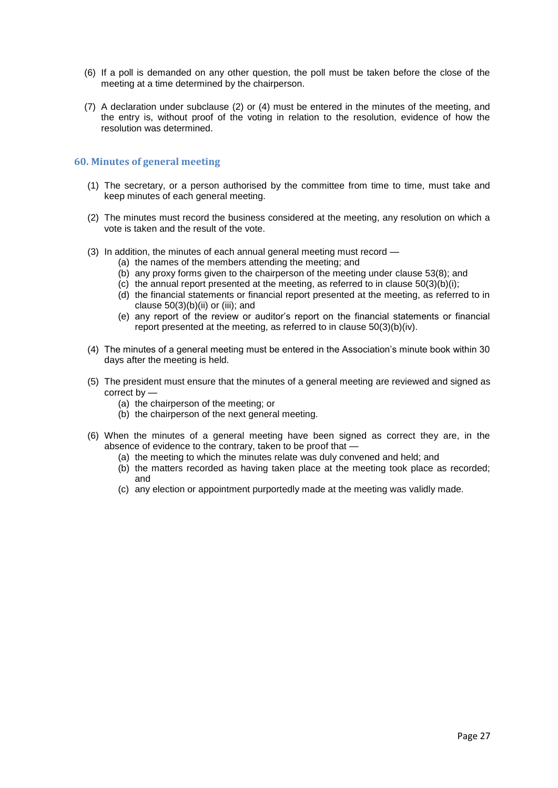- (6) If a poll is demanded on any other question, the poll must be taken before the close of the meeting at a time determined by the chairperson.
- (7) A declaration under subclause (2) or (4) must be entered in the minutes of the meeting, and the entry is, without proof of the voting in relation to the resolution, evidence of how the resolution was determined.

## <span id="page-26-0"></span>**60. Minutes of general meeting**

- (1) The secretary, or a person authorised by the committee from time to time, must take and keep minutes of each general meeting.
- (2) The minutes must record the business considered at the meeting, any resolution on which a vote is taken and the result of the vote.
- (3) In addition, the minutes of each annual general meeting must record
	- (a) the names of the members attending the meeting; and
	- (b) any proxy forms given to the chairperson of the meeting under clause 53(8); and
	- (c) the annual report presented at the meeting, as referred to in clause  $50(3)(b)(i)$ ;
	- (d) the financial statements or financial report presented at the meeting, as referred to in clause 50(3)(b)(ii) or (iii); and
	- (e) any report of the review or auditor's report on the financial statements or financial report presented at the meeting, as referred to in clause 50(3)(b)(iv).
- (4) The minutes of a general meeting must be entered in the Association's minute book within 30 days after the meeting is held.
- (5) The president must ensure that the minutes of a general meeting are reviewed and signed as correct by —
	- (a) the chairperson of the meeting; or
	- (b) the chairperson of the next general meeting.
- (6) When the minutes of a general meeting have been signed as correct they are, in the absence of evidence to the contrary, taken to be proof that —
	- (a) the meeting to which the minutes relate was duly convened and held; and
	- (b) the matters recorded as having taken place at the meeting took place as recorded; and
	- (c) any election or appointment purportedly made at the meeting was validly made.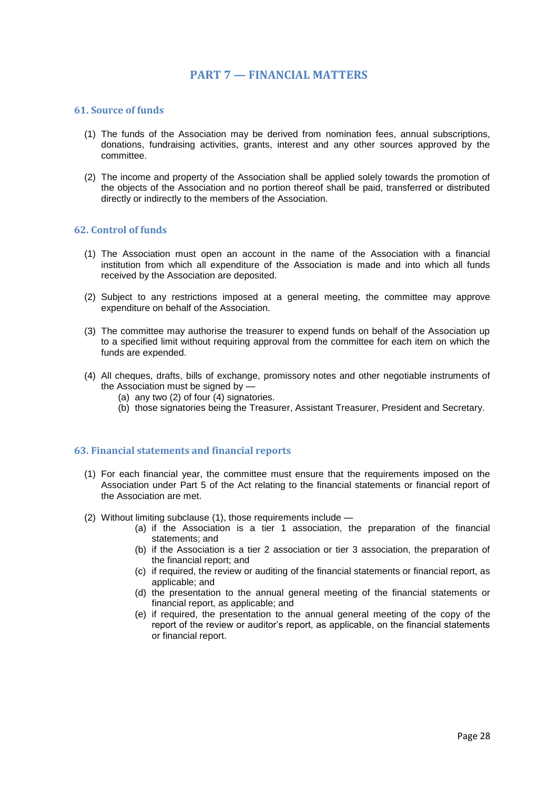# **PART 7 — FINANCIAL MATTERS**

## <span id="page-27-1"></span><span id="page-27-0"></span>**61. Source of funds**

- (1) The funds of the Association may be derived from nomination fees, annual subscriptions, donations, fundraising activities, grants, interest and any other sources approved by the committee.
- (2) The income and property of the Association shall be applied solely towards the promotion of the objects of the Association and no portion thereof shall be paid, transferred or distributed directly or indirectly to the members of the Association.

## <span id="page-27-2"></span>**62. Control of funds**

- (1) The Association must open an account in the name of the Association with a financial institution from which all expenditure of the Association is made and into which all funds received by the Association are deposited.
- (2) Subject to any restrictions imposed at a general meeting, the committee may approve expenditure on behalf of the Association.
- (3) The committee may authorise the treasurer to expend funds on behalf of the Association up to a specified limit without requiring approval from the committee for each item on which the funds are expended.
- (4) All cheques, drafts, bills of exchange, promissory notes and other negotiable instruments of the Association must be signed by -
	- (a) any two (2) of four (4) signatories.
	- (b) those signatories being the Treasurer, Assistant Treasurer, President and Secretary.

#### <span id="page-27-3"></span>**63. Financial statements and financial reports**

- (1) For each financial year, the committee must ensure that the requirements imposed on the Association under Part 5 of the Act relating to the financial statements or financial report of the Association are met.
- (2) Without limiting subclause (1), those requirements include
	- (a) if the Association is a tier 1 association, the preparation of the financial statements; and
	- (b) if the Association is a tier 2 association or tier 3 association, the preparation of the financial report; and
	- (c) if required, the review or auditing of the financial statements or financial report, as applicable; and
	- (d) the presentation to the annual general meeting of the financial statements or financial report, as applicable; and
	- (e) if required, the presentation to the annual general meeting of the copy of the report of the review or auditor's report, as applicable, on the financial statements or financial report.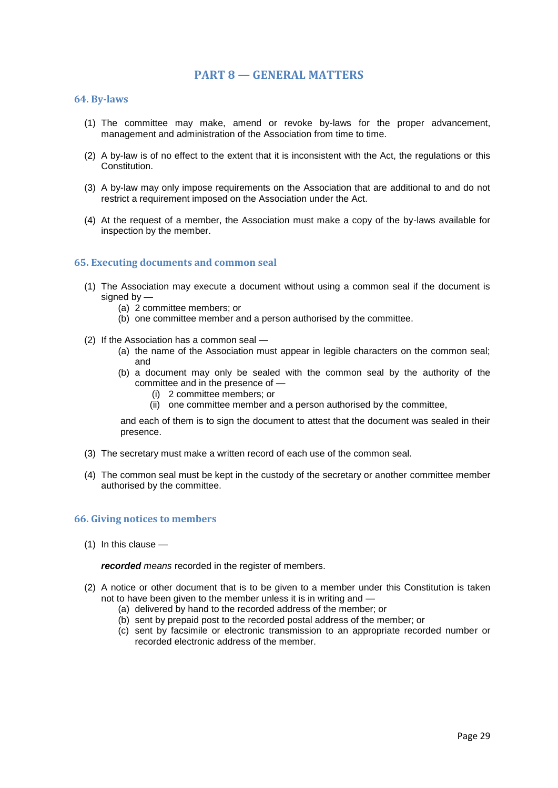# **PART 8 — GENERAL MATTERS**

#### <span id="page-28-1"></span><span id="page-28-0"></span>**64. By-laws**

- (1) The committee may make, amend or revoke by-laws for the proper advancement, management and administration of the Association from time to time.
- (2) A by-law is of no effect to the extent that it is inconsistent with the Act, the regulations or this Constitution.
- (3) A by-law may only impose requirements on the Association that are additional to and do not restrict a requirement imposed on the Association under the Act.
- (4) At the request of a member, the Association must make a copy of the by-laws available for inspection by the member.

## <span id="page-28-2"></span>**65. Executing documents and common seal**

- (1) The Association may execute a document without using a common seal if the document is signed by —
	- (a) 2 committee members; or
	- (b) one committee member and a person authorised by the committee.
- (2) If the Association has a common seal
	- (a) the name of the Association must appear in legible characters on the common seal; and
	- (b) a document may only be sealed with the common seal by the authority of the committee and in the presence of —
		- (i) 2 committee members; or
		- (ii) one committee member and a person authorised by the committee,

and each of them is to sign the document to attest that the document was sealed in their presence.

- (3) The secretary must make a written record of each use of the common seal.
- (4) The common seal must be kept in the custody of the secretary or another committee member authorised by the committee.

#### <span id="page-28-3"></span>**66. Giving notices to members**

(1) In this clause —

*recorded means* recorded in the register of members.

- (2) A notice or other document that is to be given to a member under this Constitution is taken not to have been given to the member unless it is in writing and —
	- (a) delivered by hand to the recorded address of the member; or
	- (b) sent by prepaid post to the recorded postal address of the member; or
	- (c) sent by facsimile or electronic transmission to an appropriate recorded number or recorded electronic address of the member.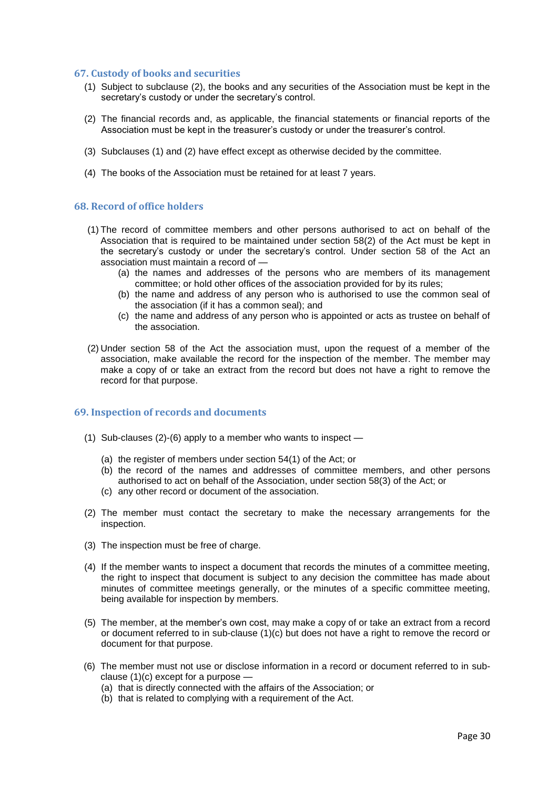## <span id="page-29-0"></span>**67. Custody of books and securities**

- (1) Subject to subclause (2), the books and any securities of the Association must be kept in the secretary's custody or under the secretary's control.
- (2) The financial records and, as applicable, the financial statements or financial reports of the Association must be kept in the treasurer's custody or under the treasurer's control.
- (3) Subclauses (1) and (2) have effect except as otherwise decided by the committee.
- (4) The books of the Association must be retained for at least 7 years.

## <span id="page-29-1"></span>**68. Record of office holders**

- (1) The record of committee members and other persons authorised to act on behalf of the Association that is required to be maintained under section 58(2) of the Act must be kept in the secretary's custody or under the secretary's control. Under section 58 of the Act an association must maintain a record of —
	- (a) the names and addresses of the persons who are members of its management committee; or hold other offices of the association provided for by its rules;
	- (b) the name and address of any person who is authorised to use the common seal of the association (if it has a common seal); and
	- (c) the name and address of any person who is appointed or acts as trustee on behalf of the association.
- (2) Under section 58 of the Act the association must, upon the request of a member of the association, make available the record for the inspection of the member. The member may make a copy of or take an extract from the record but does not have a right to remove the record for that purpose.

# <span id="page-29-2"></span>**69. Inspection of records and documents**

- (1) Sub-clauses (2)-(6) apply to a member who wants to inspect
	- (a) the register of members under section 54(1) of the Act; or
	- (b) the record of the names and addresses of committee members, and other persons authorised to act on behalf of the Association, under section 58(3) of the Act; or
	- (c) any other record or document of the association.
- (2) The member must contact the secretary to make the necessary arrangements for the inspection.
- (3) The inspection must be free of charge.
- (4) If the member wants to inspect a document that records the minutes of a committee meeting, the right to inspect that document is subject to any decision the committee has made about minutes of committee meetings generally, or the minutes of a specific committee meeting, being available for inspection by members.
- (5) The member, at the member's own cost, may make a copy of or take an extract from a record or document referred to in sub-clause (1)(c) but does not have a right to remove the record or document for that purpose.
- (6) The member must not use or disclose information in a record or document referred to in subclause  $(1)(c)$  except for a purpose  $-$ 
	- (a) that is directly connected with the affairs of the Association; or
	- (b) that is related to complying with a requirement of the Act.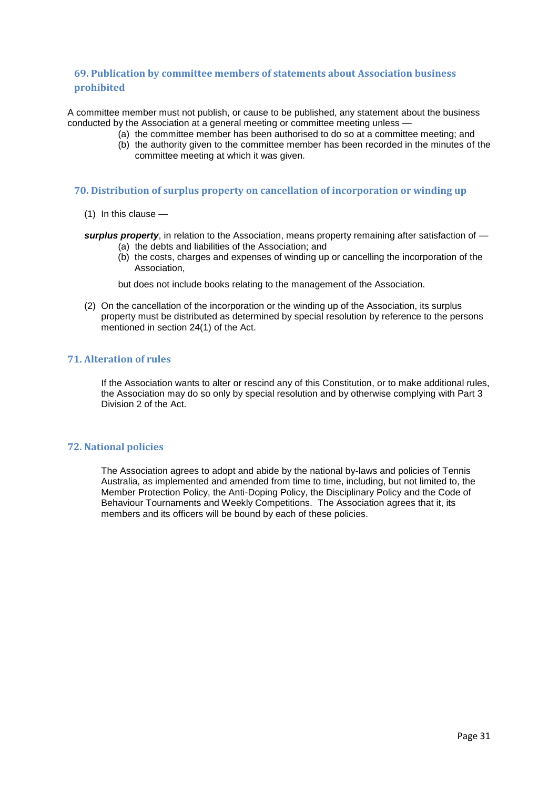# <span id="page-30-0"></span>**69. Publication by committee members of statements about Association business prohibited**

A committee member must not publish, or cause to be published, any statement about the business conducted by the Association at a general meeting or committee meeting unless -

- (a) the committee member has been authorised to do so at a committee meeting; and
- (b) the authority given to the committee member has been recorded in the minutes of the committee meeting at which it was given.

# <span id="page-30-1"></span>**70. Distribution of surplus property on cancellation of incorporation or winding up**

- (1) In this clause —
- *surplus property*, in relation to the Association, means property remaining after satisfaction of (a) the debts and liabilities of the Association; and
	- (b) the costs, charges and expenses of winding up or cancelling the incorporation of the Association,

but does not include books relating to the management of the Association.

(2) On the cancellation of the incorporation or the winding up of the Association, its surplus property must be distributed as determined by special resolution by reference to the persons mentioned in section 24(1) of the Act.

# <span id="page-30-2"></span>**71. Alteration of rules**

If the Association wants to alter or rescind any of this Constitution, or to make additional rules, the Association may do so only by special resolution and by otherwise complying with Part 3 Division 2 of the Act.

# <span id="page-30-3"></span>**72. National policies**

The Association agrees to adopt and abide by the national by-laws and policies of Tennis Australia, as implemented and amended from time to time, including, but not limited to, the Member Protection Policy, the Anti-Doping Policy, the Disciplinary Policy and the Code of Behaviour Tournaments and Weekly Competitions. The Association agrees that it, its members and its officers will be bound by each of these policies.